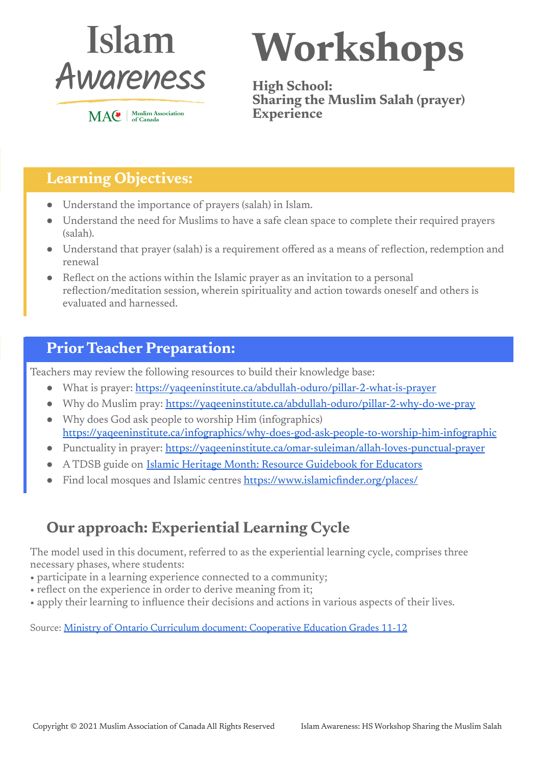

MAC | Muslim Association

**Workshops**

**High School: Sharing the Muslim Salah (prayer) Experience**

## **Learning Objectives:**

- Understand the importance of prayers (salah) in Islam.
- Understand the need for Muslims to have a safe clean space to complete their required prayers (salah).
- Understand that prayer (salah) is a requirement offered as a means of reflection, redemption and renewal
- Reflect on the actions within the Islamic prayer as an invitation to a personal reflection/meditation session, wherein spirituality and action towards oneself and others is evaluated and harnessed.

### **Prior Teacher Preparation:**

Teachers may review the following resources to build their knowledge base:

- What is prayer: <https://yaqeeninstitute.ca/abdullah-oduro/pillar-2-what-is-prayer>
- Why do Muslim pray: <https://yaqeeninstitute.ca/abdullah-oduro/pillar-2-why-do-we-pray>
- Why does God ask people to worship Him (infographics) <https://yaqeeninstitute.ca/infographics/why-does-god-ask-people-to-worship-him-infographic>
- Punctuality in prayer: <https://yaqeeninstitute.ca/omar-suleiman/allah-loves-punctual-prayer>
- A TDSB guide on Islamic Heritage Month: Resource [Guidebook](https://www.tdsb.on.ca/Portals/0/docs/IHMResourceGuidebook-UPDATES%26REVISIONS.pdf) for Educators
- Find local mosques and Islamic centres <https://www.islamicfinder.org/places/>

## **Our approach: Experiential Learning Cycle**

The model used in this document, referred to as the experiential learning cycle, comprises three necessary phases, where students:

- participate in a learning experience connected to a community;
- reflect on the experience in order to derive meaning from it;
- apply their learning to influence their decisions and actions in various aspects of their lives.

Source: Ministry of Ontario Curriculum document: [Cooperative](http://www.edu.gov.on.ca/eng/curriculum/secondary/cooperative-education-2018.pdf) Education Grades 11-12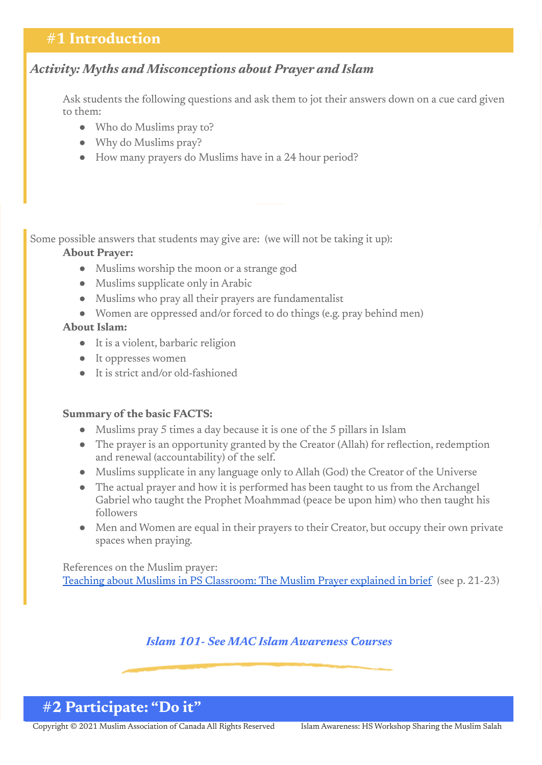### **#1 Introduction**

#### *Activity: Myths and Misconceptions about Prayer and Islam*

Ask students the following questions and ask them to jot their answers down on a cue card given to them:

- Who do Muslims pray to?
- Why do Muslims pray?
- How many prayers do Muslims have in a 24 hour period?

#### Some possible answers that students may give are: (we will not be taking it up):

#### **About Prayer:**

- Muslims worship the moon or a strange god
- Muslims supplicate only in Arabic
- Muslims who pray all their prayers are fundamentalist
- Women are oppressed and/or forced to do things (e.g. pray behind men)

#### **About Islam:**

- It is a violent, barbaric religion
- It oppresses women
- It is strict and/or old-fashioned

#### **Summary of the basic FACTS:**

- Muslims pray 5 times a day because it is one of the 5 pillars in Islam
- The prayer is an opportunity granted by the Creator (Allah) for reflection, redemption and renewal (accountability) of the self.
- Muslims supplicate in any language only to Allah (God) the Creator of the Universe
- The actual prayer and how it is performed has been taught to us from the Archangel Gabriel who taught the Prophet Moahmmad (peace be upon him) who then taught his followers
- Men and Women are equal in their prayers to their Creator, but occupy their own private spaces when praying.

References on the Muslim prayer: Teaching about Muslims in PS [Classroom:](https://drive.google.com/drive/u/1/folders/17bjkXYNGUFix4872X7w4dBlc4yqo6snB) The Muslim Prayer explained in brief (see p. 21-23)

#### *Islam 101- See MAC Islam Awareness Courses*

### **#2 Participate: "Do it"**

Copyright © 2021 Muslim Association of Canada All Rights Reserved Islam Awareness: HS Workshop Sharing the Muslim Salah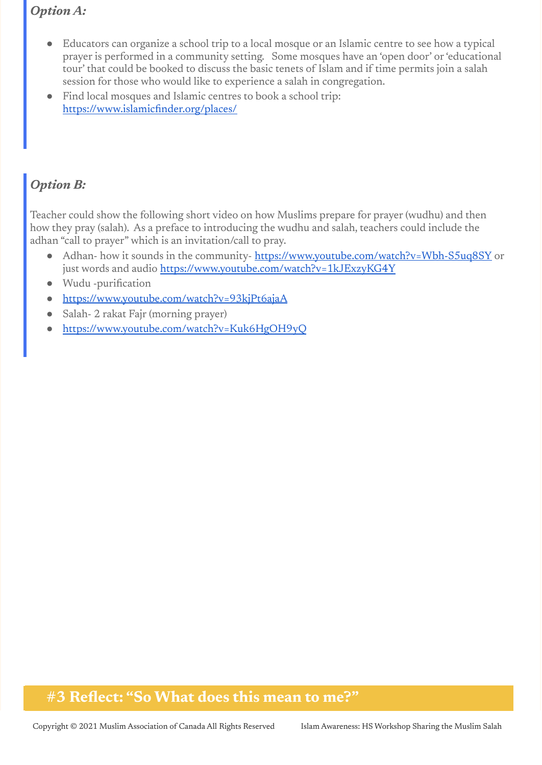#### *Option A:*

- Educators can organize a school trip to a local mosque or an Islamic centre to see how a typical prayer is performed in a community setting. Some mosques have an 'open door' or'educational tour' that could be booked to discuss the basic tenets of Islam and if time permits join a salah session for those who would like to experience a salah in congregation.
- Find local mosques and Islamic centres to book a school trip: <https://www.islamicfinder.org/places/>

### *Option B:*

Teacher could show the following short video on how Muslims prepare for prayer (wudhu) and then how they pray (salah). As a preface to introducing the wudhu and salah, teachers could include the adhan "call to prayer" which is an invitation/call to pray.

- Adhan- how it sounds in the community-<https://www.youtube.com/watch?v=Wbh-S5uq8SY> or just words and audio <https://www.youtube.com/watch?v=1kJExzyKG4Y>
- Wudu -purification
- <https://www.youtube.com/watch?v=93kjPt6ajaA>
- Salah- 2 rakat Fajr (morning prayer)
- <https://www.youtube.com/watch?v=Kuk6HgOH9yQ>

### **#3 Reflect: "So What does this mean to me?"**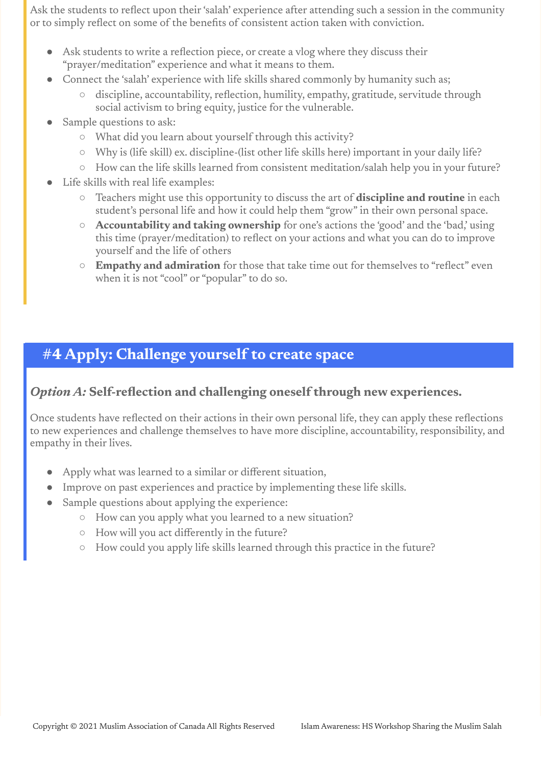Ask the students to reflect upon their'salah' experience after attending such a session in the community or to simply reflect on some of the benefits of consistent action taken with conviction.

- Ask students to write a reflection piece, or create a vlog where they discuss their "prayer/meditation" experience and what it means to them.
- Connect the 'salah' experience with life skills shared commonly by humanity such as;
	- discipline, accountability, reflection, humility, empathy, gratitude, servitude through social activism to bring equity, justice for the vulnerable.
- Sample questions to ask:
	- What did you learn about yourself through this activity?
	- Why is (life skill) ex. discipline-(list other life skills here) important in your daily life?
	- How can the life skills learned from consistent meditation/salah help you in your future?
- Life skills with real life examples:
	- Teachers might use this opportunity to discuss the art of **discipline and routine** in each student's personal life and how it could help them "grow" in their own personal space.
	- **Accountability and taking ownership** for one's actions the 'good' and the 'bad,' using this time (prayer/meditation) to reflect on your actions and what you can do to improve yourself and the life of others
	- **Empathy and admiration** for those that take time out for themselves to "reflect" even when it is not "cool" or "popular" to do so.

### **#4 Apply: Challenge yourself to create space**

#### *Option A:* **Self-reflection and challenging oneself through new experiences.**

Once students have reflected on their actions in their own personal life, they can apply these reflections to new experiences and challenge themselves to have more discipline, accountability, responsibility, and empathy in their lives.

- Apply what was learned to a similar or different situation,
- Improve on past experiences and practice by implementing these life skills.
- Sample questions about applying the experience:
	- How can you apply what you learned to a new situation?
	- How will you act differently in the future?
	- How could you apply life skills learned through this practice in the future?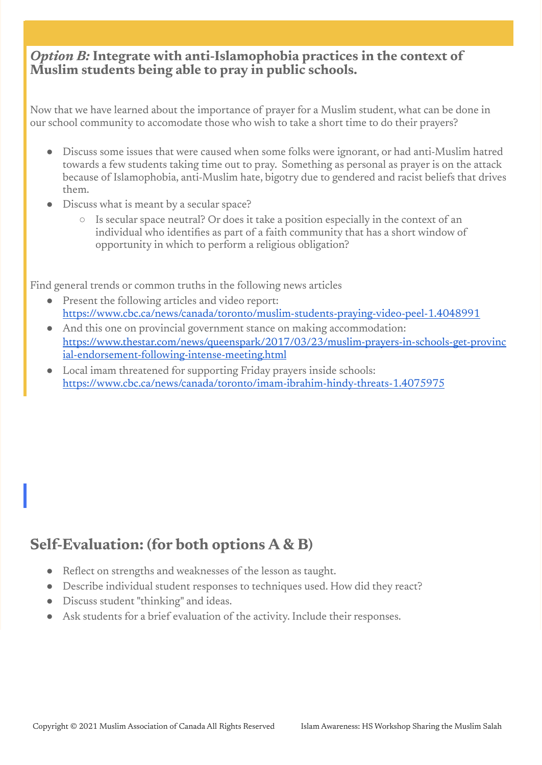#### *Option B:* **Integrate with anti-Islamophobia practices in the context of Muslim students being able to pray in public schools.**

Now that we have learned about the importance of prayer for a Muslim student, what can be done in our school community to accomodate those who wish to take a short time to do their prayers?

- Discuss some issues that were caused when some folks were ignorant, or had anti-Muslim hatred towards a few students taking time out to pray. Something as personal as prayer is on the attack because of Islamophobia, anti-Muslim hate, bigotry due to gendered and racist beliefs that drives them.
- Discuss what is meant by a secular space?
	- Is secular space neutral? Or does it take a position especially in the context of an individual who identifies as part of a faith community that has a short window of opportunity in which to perform a religious obligation?

Find general trends or common truths in the following news articles

- Present the following articles and video report: <https://www.cbc.ca/news/canada/toronto/muslim-students-praying-video-peel-1.4048991>
- And this one on provincial government stance on making accommodation: [https://www.thestar.com/news/queenspark/2017/03/23/muslim-prayers-in-schools-get-provinc](https://www.thestar.com/news/queenspark/2017/03/23/muslim-prayers-in-schools-get-provincial-endorsement-following-intense-meeting.html) [ial-endorsement-following-intense-meeting.html](https://www.thestar.com/news/queenspark/2017/03/23/muslim-prayers-in-schools-get-provincial-endorsement-following-intense-meeting.html)
- Local imam threatened for supporting Friday prayers inside schools: <https://www.cbc.ca/news/canada/toronto/imam-ibrahim-hindy-threats-1.4075975>

## **Self-Evaluation: (for both options A & B)**

- Reflect on strengths and weaknesses of the lesson as taught.
- Describe individual student responses to techniques used. How did they react?
- Discuss student "thinking" and ideas.
- Ask students for a brief evaluation of the activity. Include their responses.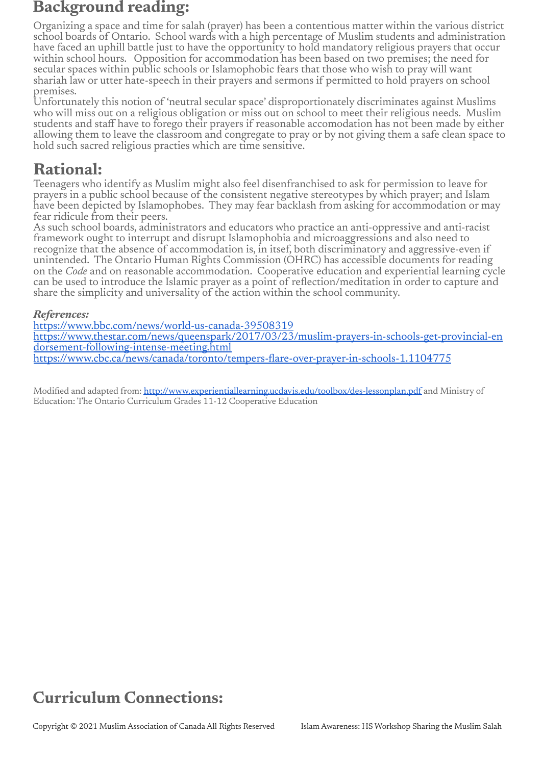### **Background reading:**

Organizing a space and time for salah (prayer) has been a contentious matter within the various district school boards of Ontario. School wards with a high percentage of Muslim students and administration have faced an uphill battle just to have the opportunity to hold mandatory religious prayers that occur within school hours. Opposition for accommodation has been based on two premises; the need for secular spaces within public schools or Islamophobic fears that those who wish to pray will want shariah law or utter hate-speech in their prayers and sermons if permitted to hold prayers on school premises.

Unfortunately this notion of 'neutral secular space' disproportionately discriminates against Muslims who will miss out on a religious obligation or miss out on school to meet their religious needs. Muslim students and staff have to forego their prayers if reasonable accomodation has not been made by either allowing them to leave the classroom and congregate to pray or by not giving them a safe clean space to hold such sacred religious practies which are time sensitive.

## **Rational:**

Teenagers who identify as Muslim might also feel disenfranchised to ask for permission to leave for prayers in a public school because of the consistent negative stereotypes by which prayer; and Islam have been depicted by Islamophobes. They may fear backlash from asking for accommodation or may fear ridicule from their peers.

As such school boards, administrators and educators who practice an anti-oppressive and anti-racist framework ought to interrupt and disrupt Islamophobia and microaggressions and also need to recognize that the absence of accommodation is, in itsef, both discriminatory and aggressive-even if unintended. The Ontario Human Rights Commission (OHRC) has accessible documents for reading on the *Code* and on reasonable accommodation. Cooperative education and experiential learning cycle can be used to introduce the Islamic prayer as a point of reflection/meditation in order to capture and share the simplicity and universality of the action within the school community.

#### *References:*

<https://www.bbc.com/news/world-us-canada-39508319> [https://www.thestar.com/news/queenspark/2017/03/23/muslim-prayers-in-schools-get-provincial-en](https://www.thestar.com/news/queenspark/2017/03/23/muslim-prayers-in-schools-get-provincial-endorsement-following-intense-meeting.html) [dorsement-following-intense-meeting.html](https://www.thestar.com/news/queenspark/2017/03/23/muslim-prayers-in-schools-get-provincial-endorsement-following-intense-meeting.html) <https://www.cbc.ca/news/canada/toronto/tempers-flare-over-prayer-in-schools-1.1104775>

Modified and adapted from: <http://www.experientiallearning.ucdavis.edu/toolbox/des-lessonplan.pdf> and Ministry of Education: The Ontario Curriculum Grades 11-12 Cooperative Education

# **Curriculum Connections:**